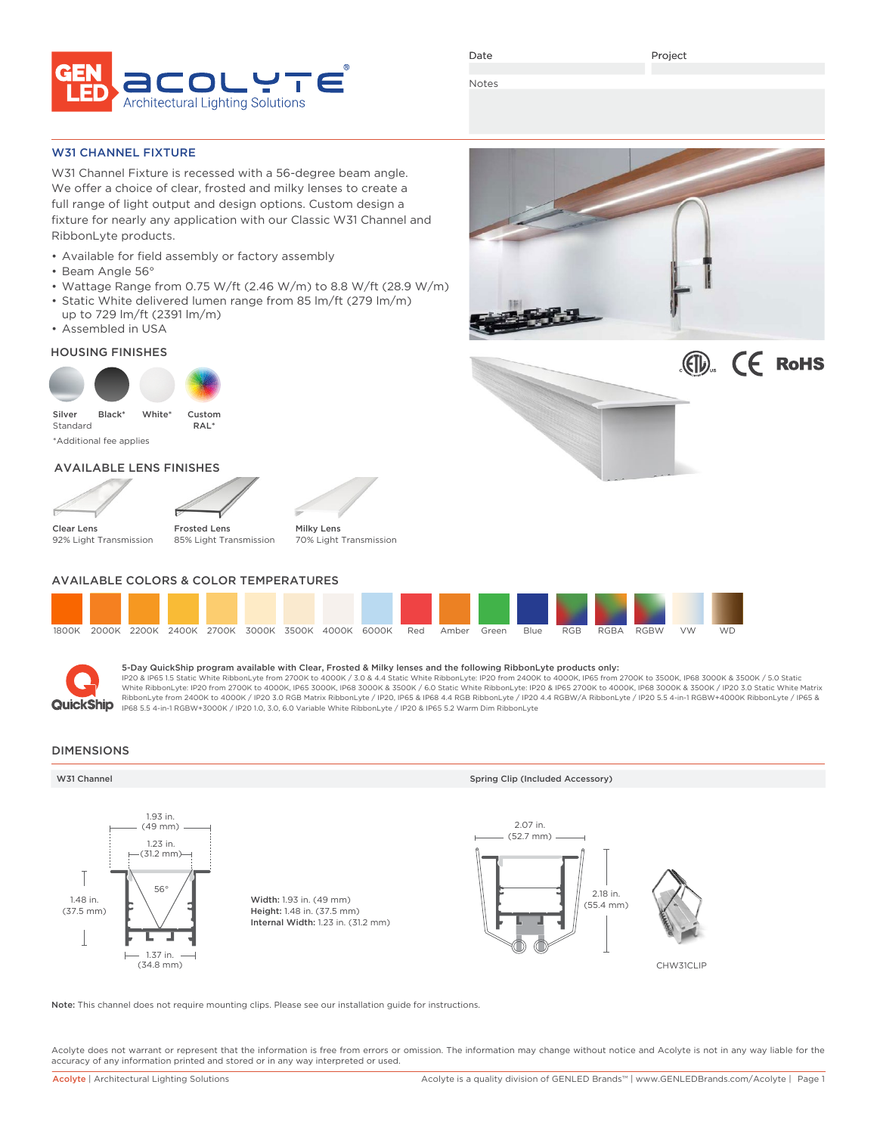

Date

Project

Notes

W31 CHANNEL FIXTURE

W31 Channel Fixture is recessed with a 56-degree beam angle. We offer a choice of clear, frosted and milky lenses to create a full range of light output and design options. Custom design a fixture for nearly any application with our Classic W31 Channel and RibbonLyte products.

- Available for field assembly or factory assembly
- Beam Angle 56°
- Wattage Range from 0.75 W/ft (2.46 W/m) to 8.8 W/ft (28.9 W/m)
- Static White delivered lumen range from 85 lm/ft (279 lm/m) up to 729 lm/ft (2391 lm/m)
- Assembled in USA

HOUSING FINISHES



Silver Standard \*Additional fee applies White\* Custom RAL\* Black\*

### AVAILABLE LENS FINISHES





Milky Lens

Clear Lens 92% Light Transmission

Frosted Lens 85% Light Transmission



### AVAILABLE COLORS & COLOR TEMPERATURES





### 5-Day QuickShip program available with Clear, Frosted & Milky lenses and the following RibbonLyte products only:

IP20 & IP65 1.5 Static White RibbonLyte from 2700K to 4000K / 3.0 & 4.4 Static White RibbonLyte: IP20 from 2400K to 4000K, IP65 from 2700K to 3500K, IP68 3000K & 3500K / 5.0 Static White RibbonLyte: IP20 from 2700K to 4000K, IP65 3000K, IP68 3000K & 3500K / 6.0 Static White RibbonLyte: IP20 & IP65 2700K to 4000K, IP68 3000K & 3500K / IP20 3.0 Static White Matrix RibbonLyte from 2400K to 4000K / IP20 3.0 RGB Matrix RibbonLyte / IP20, IP65 & IP68 4.4 RGB RibbonLyte / IP20 4.4 RGBW/A RibbonLyte / IP20 5.5 4-in-1 RGBW+4000K RibbonLyte / IP65 & IP68 5.5 4-in-1 RGBW+3000K / IP20 1.0, 3.0, 6.0 Variable White RibbonLyte / IP20 & IP65 5.2 Warm Dim RibbonLyte

### DIMENSIONS



Note: This channel does not require mounting clips. Please see our installation guide for instructions.

Acolyte does not warrant or represent that the information is free from errors or omission. The information may change without notice and Acolyte is not in any way liable for the accuracy of any information printed and stored or in any way interpreted or used.



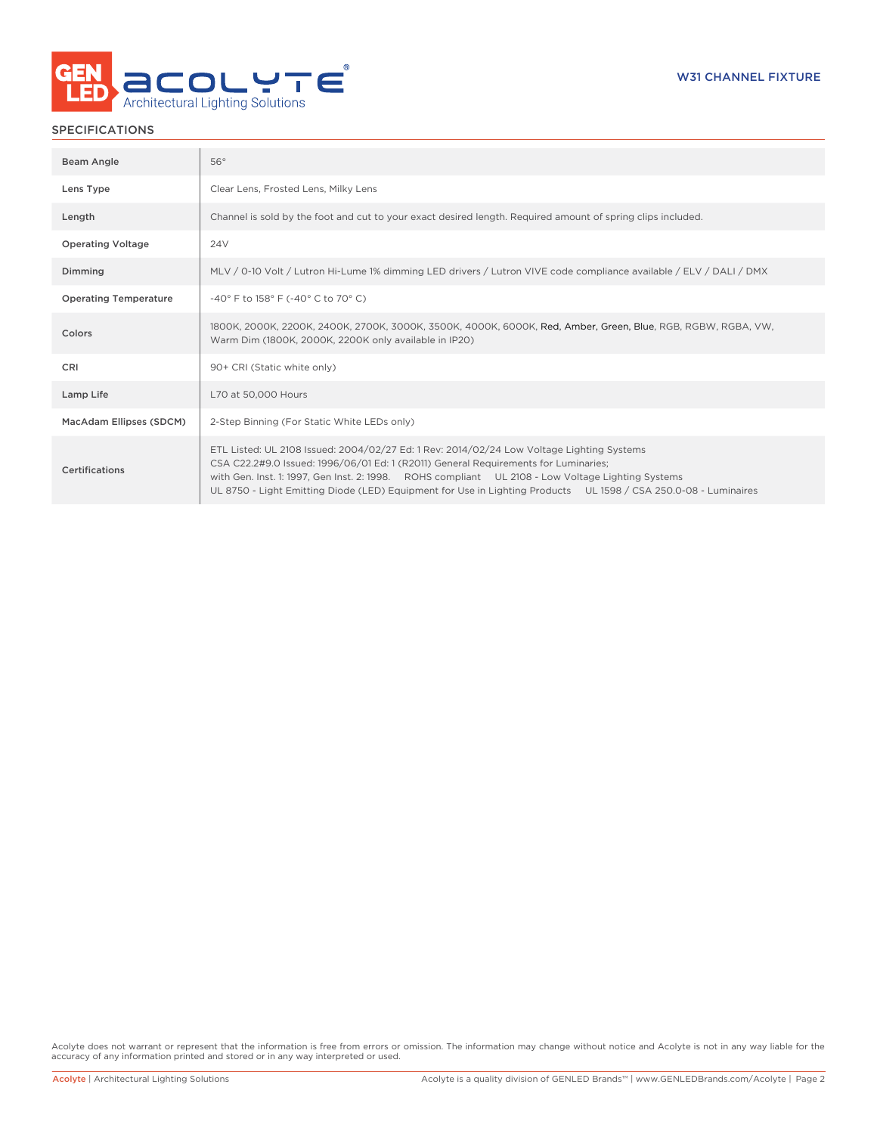

### SPECIFICATIONS

| Beam Angle                   | 56°                                                                                                                                                                                                                                                                                                                                                                                                      |
|------------------------------|----------------------------------------------------------------------------------------------------------------------------------------------------------------------------------------------------------------------------------------------------------------------------------------------------------------------------------------------------------------------------------------------------------|
| Lens Type                    | Clear Lens, Frosted Lens, Milky Lens                                                                                                                                                                                                                                                                                                                                                                     |
| Length                       | Channel is sold by the foot and cut to your exact desired length. Required amount of spring clips included.                                                                                                                                                                                                                                                                                              |
| <b>Operating Voltage</b>     | 24V                                                                                                                                                                                                                                                                                                                                                                                                      |
| Dimming                      | MLV / 0-10 Volt / Lutron Hi-Lume 1% dimming LED drivers / Lutron VIVE code compliance available / ELV / DALI / DMX                                                                                                                                                                                                                                                                                       |
| <b>Operating Temperature</b> | -40° F to 158° F (-40° C to 70° C)                                                                                                                                                                                                                                                                                                                                                                       |
| Colors                       | 1800K, 2000K, 2200K, 2400K, 2700K, 3000K, 3500K, 4000K, 6000K, Red, Amber, Green, Blue, RGB, RGBW, RGBA, VW,<br>Warm Dim (1800K, 2000K, 2200K only available in IP20)                                                                                                                                                                                                                                    |
| CRI                          | 90+ CRI (Static white only)                                                                                                                                                                                                                                                                                                                                                                              |
| Lamp Life                    | L70 at 50,000 Hours                                                                                                                                                                                                                                                                                                                                                                                      |
| MacAdam Ellipses (SDCM)      | 2-Step Binning (For Static White LEDs only)                                                                                                                                                                                                                                                                                                                                                              |
| Certifications               | ETL Listed: UL 2108 Issued: 2004/02/27 Ed: 1 Rev: 2014/02/24 Low Voltage Lighting Systems<br>CSA C22.2#9.0 Issued: 1996/06/01 Ed: 1 (R2011) General Requirements for Luminaries;<br>with Gen. Inst. 1: 1997, Gen Inst. 2: 1998. ROHS compliant UL 2108 - Low Voltage Lighting Systems<br>UL 8750 - Light Emitting Diode (LED) Equipment for Use in Lighting Products UL 1598 / CSA 250.0-08 - Luminaires |

Acolyte does not warrant or represent that the information is free from errors or omission. The information may change without notice and Acolyte is not in any way liable for the accuracy of any information printed and stored or in any way interpreted or used.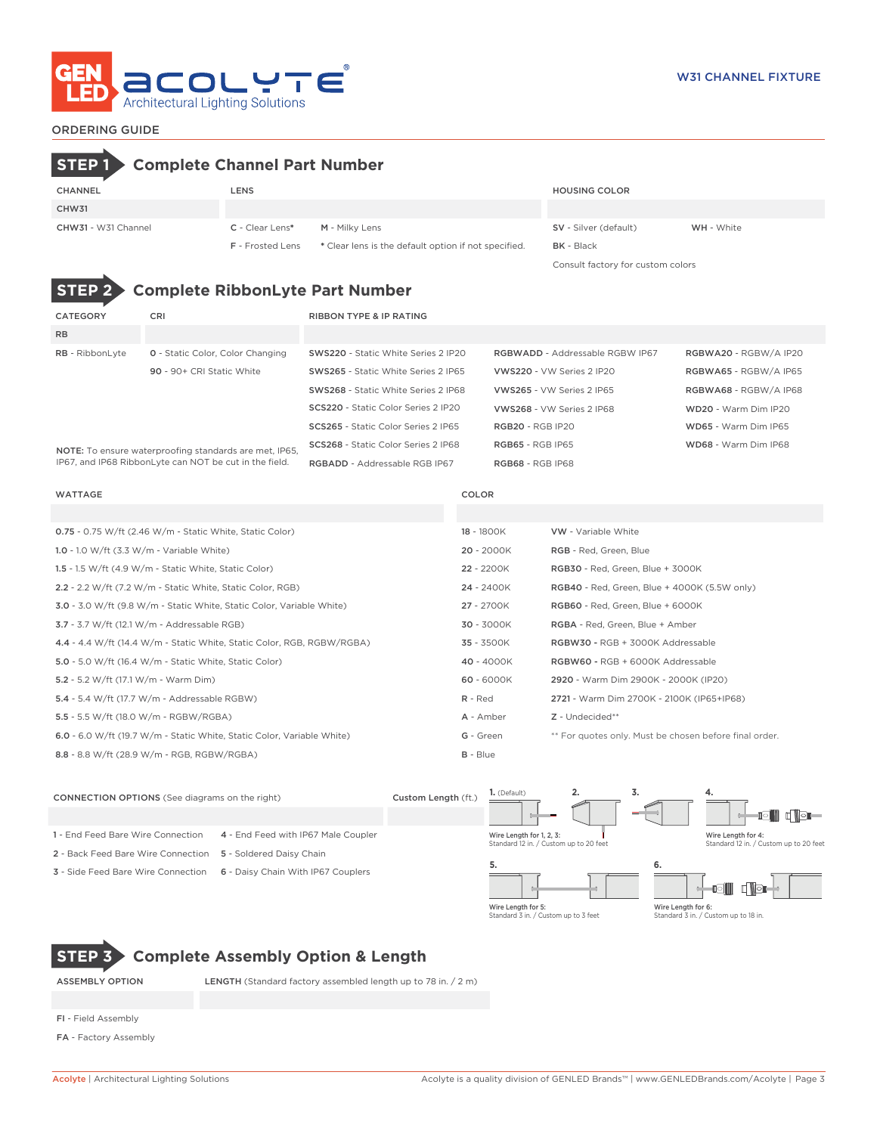

### ORDERING GUIDE

Consult factory for custom colors

# **STEP 1 Complete Channel Part Number**

| <b>CHANNEL</b>      | LENS                    |                                                      | <b>HOUSING COLOR</b>         |                   |
|---------------------|-------------------------|------------------------------------------------------|------------------------------|-------------------|
| CHW31               |                         |                                                      |                              |                   |
| CHW31 - W31 Channel | C - Clear Lens*         | M - Milky Lens                                       | <b>SV</b> - Silver (default) | <b>WH</b> - White |
|                     | <b>F</b> - Frosted Lens | * Clear lens is the default option if not specified. | <b>BK</b> - Black            |                   |

**Complete RibbonLyte Part Number** 

| <b>CATEGORY</b>                                                                                                  | <b>CRI</b>                              | <b>RIBBON TYPE &amp; IP RATING</b>   |                                        |                       |  |
|------------------------------------------------------------------------------------------------------------------|-----------------------------------------|--------------------------------------|----------------------------------------|-----------------------|--|
| <b>RB</b>                                                                                                        |                                         |                                      |                                        |                       |  |
| RB - RibbonLyte                                                                                                  | <b>0</b> - Static Color, Color Changing | SWS220 - Static White Series 2 IP20  | <b>RGBWADD - Addressable RGBW IP67</b> | RGBWA20 - RGBW/A IP20 |  |
|                                                                                                                  | 90 - 90+ CRI Static White               | SWS265 - Static White Series 2 IP65  | VWS220 - VW Series 2 IP20              | RGBWA65 - RGBW/A IP65 |  |
|                                                                                                                  |                                         | SWS268 - Static White Series 2 IP68  | VWS265 - VW Series 2 IP65              | RGBWA68 - RGBW/A IP68 |  |
|                                                                                                                  |                                         | SCS220 - Static Color Series 2 IP20  | VWS268 - VW Series 2 IP68              | WD20 - Warm Dim IP20  |  |
|                                                                                                                  |                                         | SCS265 - Static Color Series 2 IP65  | <b>RGB20 - RGB IP20</b>                | WD65 - Warm Dim IP65  |  |
| NOTE: To ensure waterproofing standards are met, IP65,<br>IP67, and IP68 RibbonLyte can NOT be cut in the field. |                                         | SCS268 - Static Color Series 2 IP68  | <b>RGB65 - RGB IP65</b>                | WD68 - Warm Dim IP68  |  |
|                                                                                                                  |                                         | <b>RGBADD</b> - Addressable RGB IP67 | <b>RGB68 - RGB IP68</b>                |                       |  |

IP67, and IP68 RibbonLyte can NOT be cut in the field.

| <b>WATTAGE</b>                                                         | COLOR        |                                                        |
|------------------------------------------------------------------------|--------------|--------------------------------------------------------|
|                                                                        |              |                                                        |
| <b>0.75</b> - 0.75 W/ft (2.46 W/m - Static White, Static Color)        | 18 - 1800K   | <b>VW</b> - Variable White                             |
| 1.0 - 1.0 W/ft $(3.3 \text{ W/m} - \text{Variable White})$             | $20 - 2000K$ | RGB - Red, Green, Blue                                 |
| 1.5 - 1.5 W/ft $(4.9 \text{ W/m}$ - Static White, Static Color)        | 22 - 2200K   | RGB30 - Red, Green, Blue + 3000K                       |
| 2.2 - 2.2 W/ft (7.2 W/m - Static White, Static Color, RGB)             | 24 - 2400K   | <b>RGB40</b> - Red, Green, Blue + 4000K (5.5W only)    |
| 3.0 - 3.0 W/ft (9.8 W/m - Static White, Static Color, Variable White)  | 27 - 2700K   | RGB60 - Red, Green, Blue + 6000K                       |
| $3.7 - 3.7$ W/ft (12.1 W/m - Addressable RGB)                          | 30 - 3000K   | RGBA - Red, Green, Blue + Amber                        |
| 4.4 - 4.4 W/ft (14.4 W/m - Static White, Static Color, RGB, RGBW/RGBA) | 35 - 3500K   | RGBW30 - RGB + 3000K Addressable                       |
| <b>5.0</b> - 5.0 W/ft (16.4 W/m - Static White, Static Color)          | 40 - 4000K   | RGBW60 - RGB + 6000K Addressable                       |
| 5.2 - 5.2 W/ft (17.1 W/m - Warm Dim)                                   | 60 - 6000K   | 2920 - Warm Dim 2900K - 2000K (IP20)                   |
| 5.4 - 5.4 W/ft (17.7 W/m - Addressable RGBW)                           | $R - Red$    | 2721 - Warm Dim 2700K - 2100K (IP65+IP68)              |
| 5.5 - 5.5 W/ft (18.0 W/m - RGBW/RGBA)                                  | A - Amber    | Z - Undecided**                                        |
| 6.0 - 6.0 W/ft (19.7 W/m - Static White, Static Color, Variable White) | G - Green    | ** For quotes only. Must be chosen before final order. |
| 8.8 - 8.8 W/ft (28.9 W/m - RGB, RGBW/RGBA)                             | $B - Blue$   |                                                        |



# **STEP 3 Complete Assembly Option & Length**

ASSEMBLY OPTION LENGTH (Standard factory assembled length up to 78 in. / 2 m)

- FI Field Assembly
- FA Factory Assembly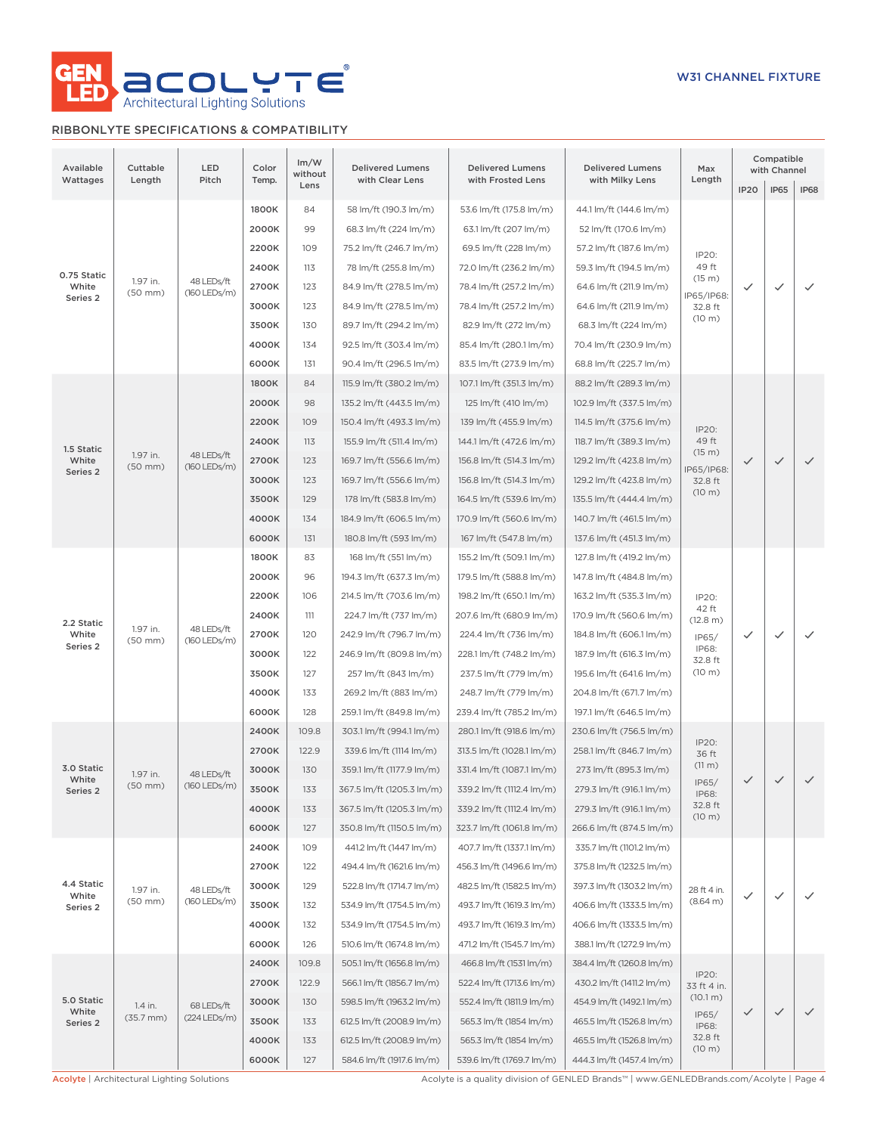

## RIBBONLYTE SPECIFICATIONS & COMPATIBILITY

| Available<br>Wattages            | Cuttable<br>Length       | LED<br>Pitch               | Color<br>Temp.                                                     | Im/W<br>without<br>Lens  | <b>Delivered Lumens</b><br>with Clear Lens | <b>Delivered Lumens</b><br>with Frosted Lens | <b>Delivered Lumens</b><br>with Milky Lens | Max<br>Length              |                       | Compatible              | with Channel             |                          |                          |       |     |                         |                         |                         |                   |  |  |  |  |  |  |  |  |       |     |                           |                         |                           |         |  |  |  |
|----------------------------------|--------------------------|----------------------------|--------------------------------------------------------------------|--------------------------|--------------------------------------------|----------------------------------------------|--------------------------------------------|----------------------------|-----------------------|-------------------------|--------------------------|--------------------------|--------------------------|-------|-----|-------------------------|-------------------------|-------------------------|-------------------|--|--|--|--|--|--|--|--|-------|-----|---------------------------|-------------------------|---------------------------|---------|--|--|--|
|                                  |                          |                            |                                                                    |                          |                                            |                                              |                                            |                            | <b>IP20</b>           | <b>IP65</b>             | <b>IP68</b>              |                          |                          |       |     |                         |                         |                         |                   |  |  |  |  |  |  |  |  |       |     |                           |                         |                           |         |  |  |  |
| 0.75 Static<br>1.97 in.<br>White |                          | 1800K                      | 84                                                                 | 58 lm/ft (190.3 lm/m)    | 53.6 lm/ft (175.8 lm/m)                    | 44.1 lm/ft (144.6 lm/m)                      |                                            |                            |                       |                         |                          |                          |                          |       |     |                         |                         |                         |                   |  |  |  |  |  |  |  |  |       |     |                           |                         |                           |         |  |  |  |
|                                  |                          |                            | 2000K                                                              | 99                       | 68.3 lm/ft (224 lm/m)                      | 63.1 lm/ft (207 lm/m)                        | 52 lm/ft (170.6 lm/m)                      |                            |                       |                         |                          |                          |                          |       |     |                         |                         |                         |                   |  |  |  |  |  |  |  |  |       |     |                           |                         |                           |         |  |  |  |
|                                  | 48 LEDs/ft               |                            |                                                                    |                          |                                            | 2200K                                        | 109                                        | 75.2 lm/ft (246.7 lm/m)    | 69.5 lm/ft (228 lm/m) | 57.2 lm/ft (187.6 lm/m) | IP20:                    |                          |                          |       |     |                         |                         |                         |                   |  |  |  |  |  |  |  |  |       |     |                           |                         |                           |         |  |  |  |
|                                  |                          | 2400K                      | 113                                                                | 78 lm/ft (255.8 lm/m)    | 72.0 lm/ft (236.2 lm/m)                    | 59.3 lm/ft (194.5 lm/m)                      | 49 ft<br>(15 m)                            |                            |                       |                         |                          |                          |                          |       |     |                         |                         |                         |                   |  |  |  |  |  |  |  |  |       |     |                           |                         |                           |         |  |  |  |
| Series 2                         | $(50$ mm $)$             | (160 LEDs/m)               | 2700K                                                              | 123                      | 84.9 lm/ft (278.5 lm/m)                    | 78.4 lm/ft (257.2 lm/m)                      | 64.6 lm/ft (211.9 lm/m)                    | IP65/IP68:                 | ✓                     | $\checkmark$            | $\checkmark$             |                          |                          |       |     |                         |                         |                         |                   |  |  |  |  |  |  |  |  |       |     |                           |                         |                           |         |  |  |  |
|                                  |                          |                            |                                                                    |                          |                                            |                                              |                                            |                            |                       |                         |                          |                          |                          | 3000K | 123 | 84.9 lm/ft (278.5 lm/m) | 78.4 lm/ft (257.2 lm/m) | 64.6 lm/ft (211.9 lm/m) | 32.8 ft<br>(10 m) |  |  |  |  |  |  |  |  |       |     |                           |                         |                           |         |  |  |  |
|                                  |                          |                            |                                                                    |                          | 3500K                                      | 130                                          | 89.7 lm/ft (294.2 lm/m)                    | 82.9 lm/ft (272 lm/m)      | 68.3 lm/ft (224 lm/m) |                         |                          |                          |                          |       |     |                         |                         |                         |                   |  |  |  |  |  |  |  |  |       |     |                           |                         |                           |         |  |  |  |
|                                  |                          |                            | 4000K                                                              | 134                      | 92.5 lm/ft (303.4 lm/m)                    | 85.4 lm/ft (280.1 lm/m)                      | 70.4 lm/ft (230.9 lm/m)                    |                            |                       |                         |                          |                          |                          |       |     |                         |                         |                         |                   |  |  |  |  |  |  |  |  |       |     |                           |                         |                           |         |  |  |  |
|                                  |                          |                            | 6000K                                                              | 131                      | 90.4 lm/ft (296.5 lm/m)                    | 83.5 lm/ft (273.9 lm/m)                      | 68.8 lm/ft (225.7 lm/m)                    |                            |                       |                         |                          |                          |                          |       |     |                         |                         |                         |                   |  |  |  |  |  |  |  |  |       |     |                           |                         |                           |         |  |  |  |
|                                  |                          |                            | 1800K                                                              | 84                       | 115.9 lm/ft (380.2 lm/m)                   | 107.1 lm/ft (351.3 lm/m)                     | 88.2 lm/ft (289.3 lm/m)                    |                            |                       |                         |                          |                          |                          |       |     |                         |                         |                         |                   |  |  |  |  |  |  |  |  |       |     |                           |                         |                           |         |  |  |  |
|                                  |                          |                            | 2000K                                                              | 98                       | 135.2 lm/ft (443.5 lm/m)                   | 125 lm/ft (410 lm/m)                         | 102.9 lm/ft (337.5 lm/m)                   |                            |                       |                         |                          |                          |                          |       |     |                         |                         |                         |                   |  |  |  |  |  |  |  |  |       |     |                           |                         |                           |         |  |  |  |
|                                  |                          |                            | 2200K<br>109<br>150.4 lm/ft (493.3 lm/m)<br>139 lm/ft (455.9 lm/m) | 114.5 lm/ft (375.6 lm/m) | IP20:                                      |                                              |                                            |                            |                       |                         |                          |                          |                          |       |     |                         |                         |                         |                   |  |  |  |  |  |  |  |  |       |     |                           |                         |                           |         |  |  |  |
| 1.5 Static                       | 1.97 in.                 | 48 LEDs/ft                 | 2400K                                                              | 113                      | 155.9 lm/ft (511.4 lm/m)                   | 144.1 lm/ft (472.6 lm/m)                     | 118.7 lm/ft (389.3 lm/m)                   | 49 ft<br>(15 m)            |                       |                         |                          |                          |                          |       |     |                         |                         |                         |                   |  |  |  |  |  |  |  |  |       |     |                           |                         |                           |         |  |  |  |
| White<br>Series 2                | $(50$ mm $)$             | $(160$ LEDs/m)             | 2700K                                                              | 123                      | 169.7 lm/ft (556.6 lm/m)                   | 156.8 lm/ft (514.3 lm/m)                     | 129.2 lm/ft (423.8 lm/m)                   | IP65/IP68:                 | $\checkmark$          | $\checkmark$            | $\checkmark$             |                          |                          |       |     |                         |                         |                         |                   |  |  |  |  |  |  |  |  |       |     |                           |                         |                           |         |  |  |  |
|                                  |                          |                            | 3000K                                                              | 123                      | 169.7 lm/ft (556.6 lm/m)                   | 156.8 lm/ft (514.3 lm/m)                     | 129.2 lm/ft (423.8 lm/m)                   | 32.8 ft<br>(10 m)          |                       |                         |                          |                          |                          |       |     |                         |                         |                         |                   |  |  |  |  |  |  |  |  |       |     |                           |                         |                           |         |  |  |  |
|                                  |                          |                            | 3500K                                                              | 129                      | 178 lm/ft (583.8 lm/m)                     | 164.5 lm/ft (539.6 lm/m)                     | 135.5 lm/ft (444.4 lm/m)                   |                            |                       |                         |                          |                          |                          |       |     |                         |                         |                         |                   |  |  |  |  |  |  |  |  |       |     |                           |                         |                           |         |  |  |  |
|                                  |                          | 4000K                      | 134                                                                | 184.9 lm/ft (606.5 lm/m) | 170.9 lm/ft (560.6 lm/m)                   | 140.7 lm/ft (461.5 lm/m)                     |                                            |                            |                       |                         |                          |                          |                          |       |     |                         |                         |                         |                   |  |  |  |  |  |  |  |  |       |     |                           |                         |                           |         |  |  |  |
|                                  |                          |                            | 6000K                                                              | 131                      | 180.8 lm/ft (593 lm/m)                     | 167 lm/ft (547.8 lm/m)                       | 137.6 lm/ft (451.3 lm/m)                   |                            |                       |                         |                          |                          |                          |       |     |                         |                         |                         |                   |  |  |  |  |  |  |  |  |       |     |                           |                         |                           |         |  |  |  |
|                                  |                          |                            | 1800K                                                              | 83                       | 168 lm/ft (551 lm/m)                       | 155.2 lm/ft (509.1 lm/m)                     | 127.8 lm/ft (419.2 lm/m)                   |                            |                       |                         |                          |                          |                          |       |     |                         |                         |                         |                   |  |  |  |  |  |  |  |  |       |     |                           |                         |                           |         |  |  |  |
|                                  |                          |                            | 2000K                                                              | 96                       | 194.3 lm/ft (637.3 lm/m)                   | 179.5 lm/ft (588.8 lm/m)                     | 147.8 lm/ft (484.8 lm/m)                   |                            |                       |                         | ✓                        |                          |                          |       |     |                         |                         |                         |                   |  |  |  |  |  |  |  |  |       |     |                           |                         |                           |         |  |  |  |
|                                  |                          |                            | 2200K                                                              | 106                      | 214.5 lm/ft (703.6 lm/m)                   | 198.2 lm/ft (650.1 lm/m)                     | 163.2 lm/ft (535.3 lm/m)                   | IP20:                      |                       |                         |                          |                          |                          |       |     |                         |                         |                         |                   |  |  |  |  |  |  |  |  |       |     |                           |                         |                           |         |  |  |  |
| 2.2 Static                       |                          | 48 LEDs/ft<br>(160 LEDs/m) | 2400K                                                              | 111                      | 224.7 lm/ft (737 lm/m)                     | 207.6 lm/ft (680.9 lm/m)                     | 170.9 lm/ft (560.6 lm/m)                   | 42 ft<br>(12.8 m)<br>IP65/ | $\checkmark$          | $\checkmark$            |                          |                          |                          |       |     |                         |                         |                         |                   |  |  |  |  |  |  |  |  |       |     |                           |                         |                           |         |  |  |  |
| White                            | 1.97 in.<br>$(50$ mm $)$ |                            | 2700K                                                              | 120                      | 242.9 lm/ft (796.7 lm/m)                   | 224.4 lm/ft (736 lm/m)                       | 184.8 lm/ft (606.1 lm/m)                   |                            |                       |                         |                          |                          |                          |       |     |                         |                         |                         |                   |  |  |  |  |  |  |  |  |       |     |                           |                         |                           |         |  |  |  |
| Series 2                         |                          |                            | 3000K                                                              | 122                      | 246.9 lm/ft (809.8 lm/m)                   | 228.1 lm/ft (748.2 lm/m)                     | 187.9 lm/ft (616.3 lm/m)                   | IP68:<br>32.8 ft           |                       |                         |                          |                          |                          |       |     |                         |                         |                         |                   |  |  |  |  |  |  |  |  |       |     |                           |                         |                           |         |  |  |  |
|                                  |                          |                            | 3500K                                                              | 127                      | 257 lm/ft (843 lm/m)                       | 237.5 lm/ft (779 lm/m)                       | 195.6 lm/ft (641.6 lm/m)                   | (10 m)                     |                       |                         |                          |                          |                          |       |     |                         |                         |                         |                   |  |  |  |  |  |  |  |  |       |     |                           |                         |                           |         |  |  |  |
|                                  |                          |                            | 4000K                                                              | 133                      | 269.2 lm/ft (883 lm/m)                     | 248.7 lm/ft (779 lm/m)                       | 204.8 lm/ft (671.7 lm/m)                   |                            |                       |                         |                          |                          |                          |       |     |                         |                         |                         |                   |  |  |  |  |  |  |  |  |       |     |                           |                         |                           |         |  |  |  |
|                                  |                          |                            | 6000K                                                              | 128                      | 259.1 lm/ft (849.8 lm/m)                   | 239.4 lm/ft (785.2 lm/m)                     | 197.1 lm/ft (646.5 lm/m)                   |                            |                       |                         |                          |                          |                          |       |     |                         |                         |                         |                   |  |  |  |  |  |  |  |  |       |     |                           |                         |                           |         |  |  |  |
|                                  |                          |                            |                                                                    |                          |                                            |                                              |                                            |                            | 2400K                 | 109.8                   | 303.1 lm/ft (994.1 lm/m) | 280.1 lm/ft (918.6 lm/m) | 230.6 lm/ft (756.5 lm/m) |       |     |                         |                         |                         |                   |  |  |  |  |  |  |  |  |       |     |                           |                         |                           |         |  |  |  |
|                                  |                          |                            | 2700K                                                              | 122.9                    | 339.6 lm/ft (1114 lm/m)                    | 313.5 lm/ft (1028.1 lm/m)                    | 258.1 lm/ft (846.7 lm/m)                   | IP20:<br>36 ft             |                       |                         |                          |                          |                          |       |     |                         |                         |                         |                   |  |  |  |  |  |  |  |  |       |     |                           |                         |                           |         |  |  |  |
| 3.0 Static<br>White              | 1.97 in.                 | 48 LEDs/ft                 | 3000K                                                              | 130                      | 359.1 lm/ft (1177.9 lm/m)                  | 331.4 lm/ft (1087.1 lm/m)                    | 273 lm/ft (895.3 lm/m)                     | (11 m)                     |                       |                         |                          |                          |                          |       |     |                         |                         |                         |                   |  |  |  |  |  |  |  |  |       |     |                           |                         |                           |         |  |  |  |
| Series 2                         | $(50$ mm $)$             | $(160$ LEDs/m)             | 3500K                                                              | 133                      | 367.5 lm/ft (1205.3 lm/m)                  | 339.2 lm/ft (1112.4 lm/m)                    | 279.3 lm/ft (916.1 lm/m)                   | IP65/<br>IP68:             | $\checkmark$          | $\checkmark$            | $\checkmark$             |                          |                          |       |     |                         |                         |                         |                   |  |  |  |  |  |  |  |  |       |     |                           |                         |                           |         |  |  |  |
|                                  |                          |                            | 4000K                                                              | 133                      | 367.5 lm/ft (1205.3 lm/m)                  | 339.2 lm/ft (1112.4 lm/m)                    | 279.3 lm/ft (916.1 lm/m)                   | 32.8 ft<br>(10 m)          |                       |                         |                          |                          |                          |       |     |                         |                         |                         |                   |  |  |  |  |  |  |  |  |       |     |                           |                         |                           |         |  |  |  |
|                                  |                          |                            | 6000K                                                              | 127                      | 350.8 lm/ft (1150.5 lm/m)                  | 323.7 lm/ft (1061.8 lm/m)                    | 266.6 lm/ft (874.5 lm/m)                   |                            |                       |                         |                          |                          |                          |       |     |                         |                         |                         |                   |  |  |  |  |  |  |  |  |       |     |                           |                         |                           |         |  |  |  |
|                                  |                          |                            | 2400K                                                              | 109                      | 441.2 lm/ft (1447 lm/m)                    | 407.7 lm/ft (1337.1 lm/m)                    | 335.7 lm/ft (1101.2 lm/m)                  |                            |                       |                         |                          |                          |                          |       |     |                         |                         |                         |                   |  |  |  |  |  |  |  |  |       |     |                           |                         |                           |         |  |  |  |
|                                  |                          |                            | 2700K                                                              | 122                      | 494.4 lm/ft (1621.6 lm/m)                  | 456.3 lm/ft (1496.6 lm/m)                    | 375.8 lm/ft (1232.5 lm/m)                  |                            |                       |                         |                          |                          |                          |       |     |                         |                         |                         |                   |  |  |  |  |  |  |  |  |       |     |                           |                         |                           |         |  |  |  |
| 4.4 Static                       | 1.97 in.                 | 48 LEDs/ft                 | 3000K                                                              | 129                      | 522.8 lm/ft (1714.7 lm/m)                  | 482.5 lm/ft (1582.5 lm/m)                    | 397.3 lm/ft (1303.2 lm/m)                  | 28 ft 4 in.                |                       |                         |                          |                          |                          |       |     |                         |                         |                         |                   |  |  |  |  |  |  |  |  |       |     |                           |                         |                           |         |  |  |  |
| White<br>Series 2                | $(50$ mm $)$             | (160 LEDs/m)               | 3500K                                                              | 132                      | 534.9 lm/ft (1754.5 lm/m)                  | 493.7 lm/ft (1619.3 lm/m)                    | 406.6 lm/ft (1333.5 lm/m)                  | (8.64 m)                   | ✓                     | $\checkmark$            | $\checkmark$             |                          |                          |       |     |                         |                         |                         |                   |  |  |  |  |  |  |  |  |       |     |                           |                         |                           |         |  |  |  |
|                                  |                          |                            | 4000K                                                              | 132                      | 534.9 lm/ft (1754.5 lm/m)                  | 493.7 lm/ft (1619.3 lm/m)                    | 406.6 lm/ft (1333.5 lm/m)                  |                            |                       |                         |                          |                          |                          |       |     |                         |                         |                         |                   |  |  |  |  |  |  |  |  |       |     |                           |                         |                           |         |  |  |  |
|                                  |                          |                            | 6000K                                                              | 126                      | 510.6 lm/ft (1674.8 lm/m)                  | 471.2 lm/ft (1545.7 lm/m)                    | 388.1 lm/ft (1272.9 lm/m)                  |                            |                       |                         |                          |                          |                          |       |     |                         |                         |                         |                   |  |  |  |  |  |  |  |  |       |     |                           |                         |                           |         |  |  |  |
|                                  |                          |                            | 2400K                                                              | 109.8                    | 505.1 lm/ft (1656.8 lm/m)                  | 466.8 lm/ft (1531 lm/m)                      | 384.4 lm/ft (1260.8 lm/m)                  |                            |                       |                         |                          |                          |                          |       |     |                         |                         |                         |                   |  |  |  |  |  |  |  |  |       |     |                           |                         |                           |         |  |  |  |
|                                  |                          |                            | 2700K                                                              | 122.9                    | 566.1 lm/ft (1856.7 lm/m)                  | 522.4 lm/ft (1713.6 lm/m)                    | 430.2 lm/ft (1411.2 lm/m)                  | IP20:<br>33 ft 4 in.       |                       |                         |                          |                          |                          |       |     |                         |                         |                         |                   |  |  |  |  |  |  |  |  |       |     |                           |                         |                           |         |  |  |  |
| 5.0 Static                       | 1.4 in.                  | 68 LEDs/ft                 | 3000K                                                              | 130                      | 598.5 lm/ft (1963.2 lm/m)                  | 552.4 lm/ft (1811.9 lm/m)                    | 454.9 lm/ft (1492.1 lm/m)                  | (10.1 m)                   |                       |                         |                          |                          |                          |       |     |                         |                         |                         |                   |  |  |  |  |  |  |  |  |       |     |                           |                         |                           |         |  |  |  |
| White<br>Series 2                | $(35.7 \, \text{mm})$    | (224 LEDs/m)               | 3500K                                                              | 133                      | 612.5 lm/ft (2008.9 lm/m)                  | 565.3 lm/ft (1854 lm/m)                      | 465.5 lm/ft (1526.8 lm/m)                  | IP65/<br>IP68:             | $\checkmark$          | $\checkmark$            |                          |                          |                          |       |     |                         |                         |                         |                   |  |  |  |  |  |  |  |  |       |     |                           |                         |                           |         |  |  |  |
|                                  |                          |                            |                                                                    |                          |                                            |                                              |                                            |                            |                       |                         |                          |                          |                          |       |     |                         |                         |                         |                   |  |  |  |  |  |  |  |  | 4000K | 133 | 612.5 lm/ft (2008.9 lm/m) | 565.3 lm/ft (1854 lm/m) | 465.5 lm/ft (1526.8 lm/m) | 32.8 ft |  |  |  |
|                                  |                          |                            | 6000K                                                              | 127                      | 584.6 lm/ft (1917.6 lm/m)                  | 539.6 lm/ft (1769.7 lm/m)                    | 444.3 lm/ft (1457.4 lm/m)                  | (10 m)                     |                       |                         |                          |                          |                          |       |     |                         |                         |                         |                   |  |  |  |  |  |  |  |  |       |     |                           |                         |                           |         |  |  |  |
|                                  |                          |                            |                                                                    |                          |                                            |                                              |                                            |                            |                       |                         |                          |                          |                          |       |     |                         |                         |                         |                   |  |  |  |  |  |  |  |  |       |     |                           |                         |                           |         |  |  |  |

Acolyte | Architectural Lighting Solutions **Acolyte is a quality division of GENLED Brands™** | www.GENLEDBrands.com/Acolyte | Page 4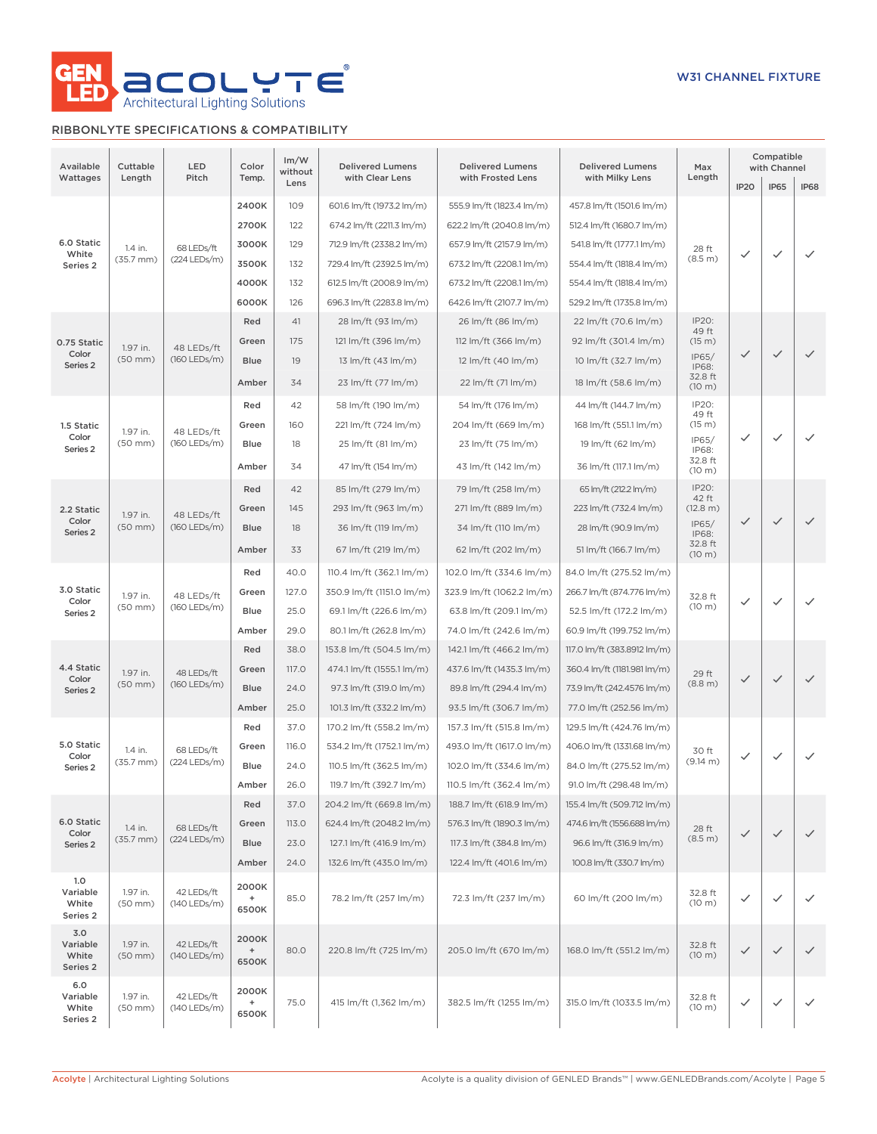

## RIBBONLYTE SPECIFICATIONS & COMPATIBILITY

| Available<br>Wattages                | Cuttable<br>Length               | LED<br>Pitch                 | Color<br>Temp.                                     | Im/W<br>without<br>Lens | <b>Delivered Lumens</b><br>with Clear Lens | <b>Delivered Lumens</b><br>with Frosted Lens | <b>Delivered Lumens</b><br>with Milky Lens | Max<br>Length            | IP <sub>20</sub>         | Compatible<br>with Channel<br><b>IP65</b> | <b>IP68</b>  |      |                         |                         |                         |                      |                        |              |              |                           |                           |                             |                         |                            |         |              |
|--------------------------------------|----------------------------------|------------------------------|----------------------------------------------------|-------------------------|--------------------------------------------|----------------------------------------------|--------------------------------------------|--------------------------|--------------------------|-------------------------------------------|--------------|------|-------------------------|-------------------------|-------------------------|----------------------|------------------------|--------------|--------------|---------------------------|---------------------------|-----------------------------|-------------------------|----------------------------|---------|--------------|
|                                      |                                  |                              | 2400K                                              | 109                     | 601.6 lm/ft (1973.2 lm/m)                  | 555.9 lm/ft (1823.4 lm/m)                    | 457.8 lm/ft (1501.6 lm/m)                  |                          |                          |                                           |              |      |                         |                         |                         |                      |                        |              |              |                           |                           |                             |                         |                            |         |              |
|                                      |                                  |                              |                                                    |                         |                                            |                                              |                                            |                          |                          |                                           |              |      |                         |                         |                         |                      |                        |              |              |                           |                           |                             |                         |                            |         |              |
| 6.0 Static                           |                                  |                              | 2700K                                              | 122                     | 674.2 lm/ft (2211.3 lm/m)                  | 622.2 lm/ft (2040.8 lm/m)                    | 512.4 lm/ft (1680.7 lm/m)                  |                          |                          |                                           |              |      |                         |                         |                         |                      |                        |              |              |                           |                           |                             |                         |                            |         |              |
| White                                | 1.4 in.<br>$(35.7 \, \text{mm})$ | 68 LEDs/ft<br>(224 LEDs/m)   | 3000K                                              | 129                     | 712.9 lm/ft (2338.2 lm/m)                  | 657.9 lm/ft (2157.9 lm/m)                    | 541.8 lm/ft (1777.1 lm/m)                  | 28 ft<br>(8.5 m)         | ✓                        | ✓                                         | $\checkmark$ |      |                         |                         |                         |                      |                        |              |              |                           |                           |                             |                         |                            |         |              |
| Series 2                             |                                  |                              | 3500K                                              | 132                     | 729.4 lm/ft (2392.5 lm/m)                  | 673.2 lm/ft (2208.1 lm/m)                    | 554.4 lm/ft (1818.4 lm/m)                  |                          |                          |                                           |              |      |                         |                         |                         |                      |                        |              |              |                           |                           |                             |                         |                            |         |              |
|                                      |                                  |                              | 4000K                                              | 132                     | 612.5 lm/ft (2008.9 lm/m)                  | 673.2 lm/ft (2208.1 lm/m)                    | 554.4 lm/ft (1818.4 lm/m)                  |                          |                          |                                           |              |      |                         |                         |                         |                      |                        |              |              |                           |                           |                             |                         |                            |         |              |
|                                      |                                  |                              | 6000K                                              | 126                     | 696.3 lm/ft (2283.8 lm/m)                  | 642.6 lm/ft (2107.7 lm/m)                    | 529.2 lm/ft (1735.8 lm/m)                  |                          |                          |                                           |              |      |                         |                         |                         |                      |                        |              |              |                           |                           |                             |                         |                            |         |              |
|                                      |                                  |                              | Red                                                | 41                      | 28 lm/ft (93 lm/m)                         | 26 lm/ft (86 lm/m)                           | 22 lm/ft (70.6 lm/m)                       | IP20:<br>49 ft           |                          |                                           |              |      |                         |                         |                         |                      |                        |              |              |                           |                           |                             |                         |                            |         |              |
| 0.75 Static<br>Color                 | 1.97 in.                         | 48 LEDs/ft                   | Green                                              | 175                     | 121 lm/ft (396 lm/m)                       | 112 lm/ft (366 lm/m)                         | 92 lm/ft (301.4 lm/m)                      | (15 m)<br>IP65/          | $\checkmark$             | $\checkmark$                              | $\checkmark$ |      |                         |                         |                         |                      |                        |              |              |                           |                           |                             |                         |                            |         |              |
| Series <sub>2</sub>                  | $(50$ mm $)$                     | (160 LEDs/m)                 | <b>Blue</b>                                        | 19                      | 13 lm/ft (43 lm/m)                         | 12 lm/ft (40 lm/m)                           | 10 lm/ft (32.7 lm/m)                       | IP68:                    |                          |                                           |              |      |                         |                         |                         |                      |                        |              |              |                           |                           |                             |                         |                            |         |              |
|                                      |                                  |                              | Amber                                              | 34                      | 23 lm/ft (77 lm/m)                         | 22 lm/ft (71 lm/m)                           | 18 lm/ft (58.6 lm/m)                       | 32.8 ft<br>(10 m)        |                          |                                           |              |      |                         |                         |                         |                      |                        |              |              |                           |                           |                             |                         |                            |         |              |
|                                      |                                  |                              | Red                                                | 42                      | 58 lm/ft (190 lm/m)                        | 54 lm/ft (176 lm/m)                          | 44 lm/ft (144.7 lm/m)                      | IP20:<br>49 ft           |                          |                                           |              |      |                         |                         |                         |                      |                        |              |              |                           |                           |                             |                         |                            |         |              |
| 1.5 Static                           | 1.97 in.                         | 48 LEDs/ft                   | Green                                              | 160                     | 221 lm/ft (724 lm/m)                       | 204 lm/ft (669 lm/m)                         | 168 lm/ft (551.1 lm/m)                     | (15 m)                   |                          |                                           |              |      |                         |                         |                         |                      |                        |              |              |                           |                           |                             |                         |                            |         |              |
| Color<br>Series <sub>2</sub>         | $(50$ mm $)$                     | (160 LEDs/m)                 | <b>Blue</b>                                        | 18                      | 25 lm/ft (81 lm/m)                         | 23 lm/ft (75 lm/m)                           | 19 lm/ft (62 lm/m)                         | IP65/<br>IP68:           | $\checkmark$             | ✓                                         | $\checkmark$ |      |                         |                         |                         |                      |                        |              |              |                           |                           |                             |                         |                            |         |              |
|                                      |                                  |                              | Amber                                              | 34                      | 47 lm/ft (154 lm/m)                        | 43 lm/ft (142 lm/m)                          | 36 lm/ft (117.1 lm/m)                      | 32.8 ft<br>(10 m)        |                          |                                           |              |      |                         |                         |                         |                      |                        |              |              |                           |                           |                             |                         |                            |         |              |
|                                      |                                  |                              | Red                                                | 42                      | 85 lm/ft (279 lm/m)                        | 79 lm/ft (258 lm/m)                          | 65 lm/ft (212.2 lm/m)                      | IP20:<br>42 ft           |                          |                                           |              |      |                         |                         |                         |                      |                        |              |              |                           |                           |                             |                         |                            |         |              |
| 2.2 Static                           | 1.97 in.                         | 48 LEDs/ft                   |                                                    |                         |                                            |                                              |                                            |                          |                          |                                           |              |      | Green                   | 145                     | 293 lm/ft (963 lm/m)    | 271 lm/ft (889 lm/m) | 223 lm/ft (732.4 lm/m) | (12.8 m)     |              |                           |                           |                             |                         |                            |         |              |
| Color<br>Series <sub>2</sub>         | $(50$ mm $)$                     | (160 LEDs/m)                 | <b>Blue</b>                                        | 18                      | 36 lm/ft (119 lm/m)                        | 34 lm/ft (110 lm/m)                          | 28 lm/ft (90.9 lm/m)                       | IP65/<br>IP68:           | $\checkmark$             | $\checkmark$                              | $\checkmark$ |      |                         |                         |                         |                      |                        |              |              |                           |                           |                             |                         |                            |         |              |
|                                      |                                  |                              | Amber                                              | 33                      | 67 lm/ft (219 lm/m)                        | 62 lm/ft (202 lm/m)                          | 51 lm/ft (166.7 lm/m)                      | 32.8 ft<br>(10 m)        |                          |                                           |              |      |                         |                         |                         |                      |                        |              |              |                           |                           |                             |                         |                            |         |              |
|                                      |                                  |                              |                                                    |                         |                                            | Red                                          | 40.0                                       | 110.4 lm/ft (362.1 lm/m) | 102.0 lm/ft (334.6 lm/m) | 84.0 lm/ft (275.52 lm/m)                  |              |      |                         |                         |                         |                      |                        |              |              |                           |                           |                             |                         |                            |         |              |
| 3.0 Static                           | 1.97 in.                         | 48 LEDs/ft                   | Green                                              | 127.0                   | 350.9 lm/ft (1151.0 lm/m)                  | 323.9 lm/ft (1062.2 lm/m)                    | 266.7 lm/ft (874.776 lm/m)                 | 32.8 ft                  |                          |                                           |              |      |                         |                         |                         |                      |                        |              |              |                           |                           |                             |                         |                            |         |              |
| Color<br>Series <sub>2</sub>         | $(50$ mm $)$                     | (160 LEDs/m)                 |                                                    |                         |                                            |                                              |                                            |                          |                          |                                           | <b>Blue</b>  | 25.0 | 69.1 lm/ft (226.6 lm/m) | 63.8 lm/ft (209.1 lm/m) | 52.5 lm/ft (172.2 lm/m) | (10 m)               | $\checkmark$           | $\checkmark$ | $\checkmark$ |                           |                           |                             |                         |                            |         |              |
|                                      |                                  |                              | Amber                                              | 29.0                    | 80.1 lm/ft (262.8 lm/m)                    | 74.0 lm/ft (242.6 lm/m)                      | 60.9 lm/ft (199.752 lm/m)                  |                          |                          |                                           |              |      |                         |                         |                         |                      |                        |              |              |                           |                           |                             |                         |                            |         |              |
|                                      |                                  |                              | Red                                                | 38.0                    | 153.8 lm/ft (504.5 lm/m)                   | 142.1 lm/ft (466.2 lm/m)                     | 117.0 lm/ft (383.8912 lm/m)                |                          |                          |                                           |              |      |                         |                         |                         |                      |                        |              |              |                           |                           |                             |                         |                            |         |              |
| 4.4 Static                           | 1.97 in.                         |                              | 48 LEDs/ft<br>(160 LEDs/m)                         |                         |                                            |                                              |                                            |                          |                          |                                           |              |      |                         |                         |                         |                      |                        | Green        | 117.0        | 474.1 lm/ft (1555.1 lm/m) | 437.6 lm/ft (1435.3 lm/m) | 360.4 lm/ft (1181.981 lm/m) | 29 ft                   |                            |         |              |
| Color<br>Series <sub>2</sub>         | $(50$ mm $)$                     |                              |                                                    |                         |                                            |                                              |                                            |                          |                          |                                           |              |      |                         |                         |                         |                      |                        |              |              | <b>Blue</b>               | 24.0                      | 97.3 lm/ft (319.0 lm/m)     | 89.8 lm/ft (294.4 lm/m) | 73.9 lm/ft (242.4576 lm/m) | (8.8 m) | $\checkmark$ |
|                                      |                                  |                              | Amber                                              | 25.0                    | 101.3 lm/ft (332.2 lm/m)                   | 93.5 lm/ft (306.7 lm/m)                      | 77.0 lm/ft (252.56 lm/m)                   |                          |                          |                                           |              |      |                         |                         |                         |                      |                        |              |              |                           |                           |                             |                         |                            |         |              |
|                                      |                                  |                              | Red                                                | 37.0                    | 170.2 lm/ft (558.2 lm/m)                   | 157.3 lm/ft (515.8 lm/m)                     | 129.5 lm/ft (424.76 lm/m)                  |                          |                          |                                           |              |      |                         |                         |                         |                      |                        |              |              |                           |                           |                             |                         |                            |         |              |
| 5.0 Static                           | 1.4 in.                          | 68 LEDs/ft                   | Green                                              | 116.0                   | 534.2 lm/ft (1752.1 lm/m)                  | 493.0 lm/ft (1617.0 lm/m)                    | 406.0 lm/ft (1331.68 lm/m)                 | 30 ft                    |                          |                                           |              |      |                         |                         |                         |                      |                        |              |              |                           |                           |                             |                         |                            |         |              |
| Color<br>Series <sub>2</sub>         | $(35.7 \, \text{mm})$            | (224 LEDs/m)                 | <b>Blue</b>                                        | 24.0                    | 110.5 lm/ft (362.5 lm/m)                   | 102.0 lm/ft (334.6 lm/m)                     | 84.0 lm/ft (275.52 lm/m)                   | $(9.14 \text{ m})$       | $\checkmark$             | $\checkmark$                              | $\checkmark$ |      |                         |                         |                         |                      |                        |              |              |                           |                           |                             |                         |                            |         |              |
|                                      |                                  |                              | Amber                                              | 26.0                    | 119.7 lm/ft (392.7 lm/m)                   | 110.5 lm/ft (362.4 lm/m)                     | 91.0 lm/ft (298.48 lm/m)                   |                          |                          |                                           |              |      |                         |                         |                         |                      |                        |              |              |                           |                           |                             |                         |                            |         |              |
|                                      |                                  |                              | Red                                                | 37.0                    | 204.2 lm/ft (669.8 lm/m)                   | 188.7 lm/ft (618.9 lm/m)                     | 155.4 lm/ft (509.712 lm/m)                 |                          |                          |                                           |              |      |                         |                         |                         |                      |                        |              |              |                           |                           |                             |                         |                            |         |              |
| 6.0 Static                           | 1.4 in.                          | 68 LEDs/ft                   | Green                                              | 113.0                   | 624.4 lm/ft (2048.2 lm/m)                  | 576.3 lm/ft (1890.3 lm/m)                    | 474.6 lm/ft (1556.688 lm/m)                |                          |                          |                                           |              |      |                         |                         |                         |                      |                        |              |              |                           |                           |                             |                         |                            |         |              |
| Color<br>Series 2                    | $(35.7 \, \text{mm})$            | (224 LEDs/m)                 | <b>Blue</b>                                        | 23.0                    | 127.1 lm/ft (416.9 lm/m)                   | 117.3 lm/ft (384.8 lm/m)                     | 96.6 lm/ft (316.9 lm/m)                    | 28 ft<br>(8.5 m)         | $\checkmark$             | $\checkmark$                              | $\checkmark$ |      |                         |                         |                         |                      |                        |              |              |                           |                           |                             |                         |                            |         |              |
|                                      |                                  |                              | Amber                                              | 24.0                    | 132.6 lm/ft (435.0 lm/m)                   | 122.4 lm/ft (401.6 lm/m)                     | 100.8 lm/ft (330.7 lm/m)                   |                          |                          |                                           |              |      |                         |                         |                         |                      |                        |              |              |                           |                           |                             |                         |                            |         |              |
| 1.0<br>Variable<br>White             | 1.97 in.<br>$(50$ mm $)$         | 42 LEDs/ft<br>(140 LEDs/m)   | 2000K<br>$\begin{array}{c} + \end{array}$<br>6500K | 85.0                    | 78.2 lm/ft (257 lm/m)                      | 72.3 lm/ft (237 lm/m)                        | 60 lm/ft (200 lm/m)                        | 32.8 ft<br>(10 m)        | $\checkmark$             | ✓                                         | $\checkmark$ |      |                         |                         |                         |                      |                        |              |              |                           |                           |                             |                         |                            |         |              |
| Series 2                             |                                  |                              |                                                    |                         |                                            |                                              |                                            |                          |                          |                                           |              |      |                         |                         |                         |                      |                        |              |              |                           |                           |                             |                         |                            |         |              |
| 3.0<br>Variable<br>White<br>Series 2 | 1.97 in.<br>$(50$ mm $)$         | 42 LEDs/ft<br>$(140$ LEDs/m) | 2000K<br>$\begin{array}{c} + \end{array}$<br>6500K | 80.0                    | 220.8 lm/ft (725 lm/m)                     | 205.0 lm/ft (670 lm/m)                       | 168.0 lm/ft (551.2 lm/m)                   | 32.8 ft<br>(10 m)        | $\checkmark$             | $\checkmark$                              | $\checkmark$ |      |                         |                         |                         |                      |                        |              |              |                           |                           |                             |                         |                            |         |              |
| 6.0<br>Variable<br>White<br>Series 2 | 1.97 in.<br>$(50$ mm $)$         | 42 LEDs/ft<br>(140 LEDs/m)   | 2000K<br>$\ddot{}$<br>6500K                        | 75.0                    | 415 lm/ft (1,362 lm/m)                     | 382.5 lm/ft (1255 lm/m)                      | 315.0 lm/ft (1033.5 lm/m)                  | 32.8 ft<br>(10 m)        | $\checkmark$             | $\checkmark$                              | ✓            |      |                         |                         |                         |                      |                        |              |              |                           |                           |                             |                         |                            |         |              |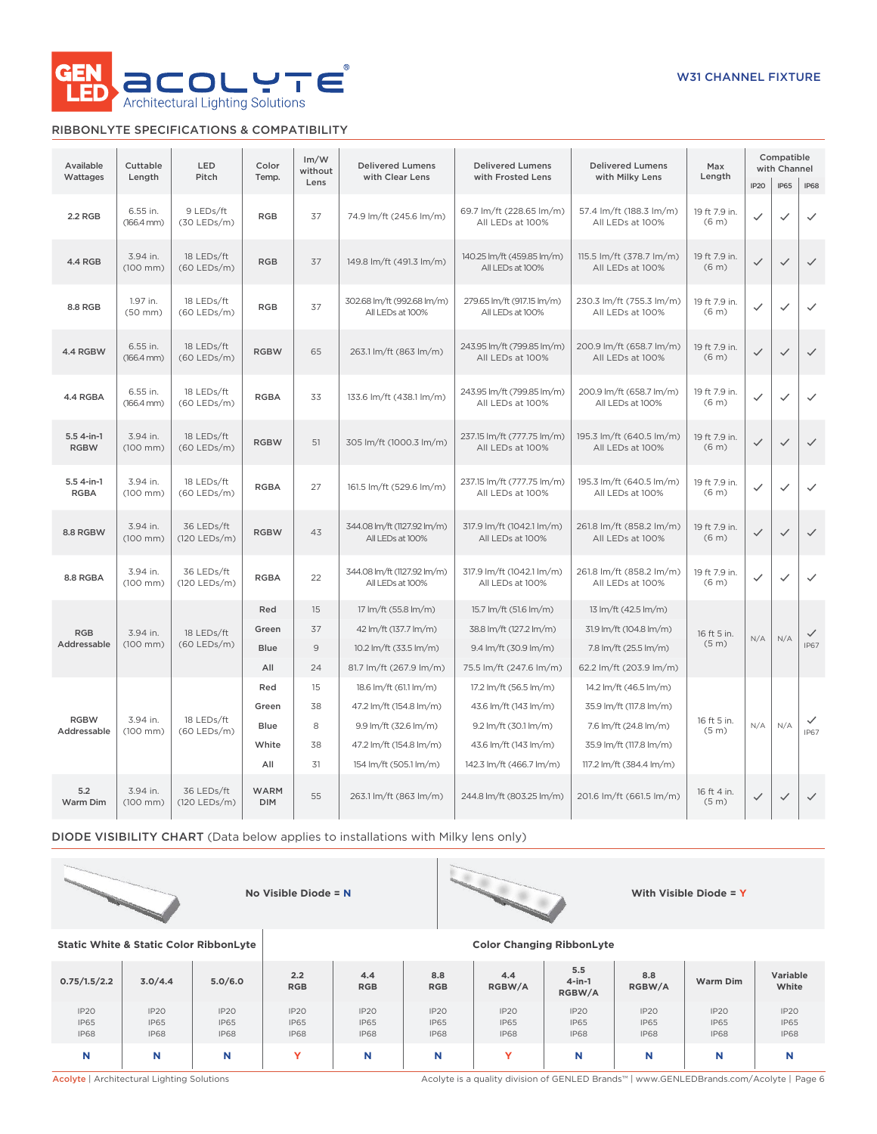

### RIBBONLYTE SPECIFICATIONS & COMPATIBILITY

| Available                  | LED<br>Cuttable                    |                             | Color                     | Im/W<br>without | <b>Delivered Lumens</b>                         | <b>Delivered Lumens</b>                                                                        | <b>Delivered Lumens</b>                      | Max                                |              | Compatible<br>with Channel |              |
|----------------------------|------------------------------------|-----------------------------|---------------------------|-----------------|-------------------------------------------------|------------------------------------------------------------------------------------------------|----------------------------------------------|------------------------------------|--------------|----------------------------|--------------|
| Wattages                   | Length                             | Pitch                       | Temp.                     | Lens            | with Clear Lens                                 | with Frosted Lens                                                                              | with Milky Lens                              | Length                             | <b>IP20</b>  | <b>IP65</b>                | <b>IP68</b>  |
| 2.2 RGB                    | 6.55 in.<br>$(166.4 \, \text{mm})$ | 9 LEDs/ft<br>$(30$ LEDs/m)  | <b>RGB</b>                | 37              | 74.9 lm/ft (245.6 lm/m)                         | 69.7 lm/ft (228.65 lm/m)<br>All LEDs at 100%                                                   | 57.4 lm/ft (188.3 lm/m)<br>All LEDs at 100%  | 19 ft 7.9 in.<br>(6 <sub>m</sub> ) | $\checkmark$ | ✓                          | $\checkmark$ |
| <b>4.4 RGB</b>             | 3.94 in.<br>(100 mm)               | 18 LEDs/ft<br>$(60$ LEDs/m) | <b>RGB</b>                | 37              | 149.8 lm/ft (491.3 lm/m)                        | 140.25 lm/ft (459.85 lm/m)<br>All LEDs at 100%                                                 | 115.5 lm/ft (378.7 lm/m)<br>All LEDs at 100% | 19 ft 7.9 in.<br>(6 <sub>m</sub> ) | $\checkmark$ | $\checkmark$               | $\checkmark$ |
| 8.8 RGB                    | 1.97 in.<br>$(50$ mm $)$           | 18 LEDs/ft<br>(60 LEDs/m)   | <b>RGB</b>                | 37              | 302.68 lm/ft (992.68 lm/m)<br>All LEDs at 100%  | 279.65 lm/ft (917.15 lm/m)<br>All LEDs at 100%                                                 | 230.3 lm/ft (755.3 lm/m)<br>All LEDs at 100% | 19 ft 7.9 in.<br>(6 <sub>m</sub> ) | $\checkmark$ | $\checkmark$               | $\checkmark$ |
| 4.4 RGBW                   | 6.55 in.<br>$(166.4 \, \text{mm})$ | 18 LEDs/ft<br>$(60$ LEDs/m) | <b>RGBW</b>               | 65              | 263.1 lm/ft (863 lm/m)                          | 243.95 lm/ft (799.85 lm/m)<br>200.9 lm/ft (658.7 lm/m)<br>All LEDs at 100%<br>All LEDs at 100% |                                              | 19 ft 7.9 in.<br>(6 <sub>m</sub> ) | $\checkmark$ | $\checkmark$               | $\checkmark$ |
| 4.4 RGBA                   | 6.55 in.<br>$(166.4 \, \text{mm})$ | 18 LEDs/ft<br>$(60$ LEDs/m) | <b>RGBA</b>               | 33              | 133.6 lm/ft (438.1 lm/m)                        | 243.95 lm/ft (799.85 lm/m)<br>All LEDs at 100%                                                 | 200.9 lm/ft (658.7 lm/m)<br>All LEDs at 100% | 19 ft 7.9 in.<br>(6 <sub>m</sub> ) | $\checkmark$ | $\checkmark$               | $\checkmark$ |
| $5.54-in-1$<br><b>RGBW</b> | 3.94 in.<br>$(100$ mm $)$          | 18 LEDs/ft<br>$(60$ LEDs/m) | <b>RGBW</b>               | 51              | 305 lm/ft (1000.3 lm/m)                         | 237.15 lm/ft (777.75 lm/m)<br>195.3 lm/ft (640.5 lm/m)<br>All LEDs at 100%<br>All LEDs at 100% |                                              | 19 ft 7.9 in.<br>(6 <sub>m</sub> ) | $\checkmark$ | $\checkmark$               | $\checkmark$ |
| 5.5 4-in-1<br><b>RGBA</b>  | 3.94 in.<br>$(100$ mm $)$          | 18 LEDs/ft<br>(60 LEDs/m)   | <b>RGBA</b>               | 27              | 161.5 lm/ft (529.6 lm/m)                        | 237.15 lm/ft (777.75 lm/m)<br>All LEDs at 100%                                                 | 195.3 lm/ft (640.5 lm/m)<br>All LEDs at 100% | 19 ft 7.9 in.<br>(6 <sub>m</sub> ) | $\checkmark$ | $\checkmark$               | $\checkmark$ |
| 8.8 RGBW                   | 3.94 in.<br>$(100$ mm $)$          | 36 LEDs/ft<br>(120 LEDs/m)  | <b>RGBW</b><br>43         |                 | 344.08 lm/ft (1127.92 lm/m)<br>All LEDs at 100% | 317.9 lm/ft (1042.1 lm/m)<br>All LEDs at 100%                                                  | 261.8 lm/ft (858.2 lm/m)<br>All LEDs at 100% | 19 ft 7.9 in.<br>(6 <sub>m</sub> ) | $\checkmark$ | $\checkmark$               | $\checkmark$ |
| 8.8 RGBA                   | 3.94 in.<br>$(100$ mm $)$          | 36 LEDs/ft<br>(120 LEDs/m)  | <b>RGBA</b>               | 22              | 344.08 lm/ft (1127.92 lm/m)<br>All LEDs at 100% | 317.9 lm/ft (1042.1 lm/m)<br>All LEDs at 100%                                                  | 261.8 lm/ft (858.2 lm/m)<br>All LEDs at 100% | 19 ft 7.9 in.<br>(6 <sub>m</sub> ) | $\checkmark$ | $\checkmark$               | $\checkmark$ |
|                            |                                    |                             | Red                       | 15              | 17 lm/ft (55.8 lm/m)                            | 15.7 lm/ft (51.6 lm/m)                                                                         | 13 lm/ft (42.5 lm/m)                         |                                    |              |                            |              |
| <b>RGB</b>                 | 3.94 in.                           | 18 LEDs/ft                  | Green                     | 37              | 42 lm/ft (137.7 lm/m)                           | 38.8 lm/ft (127.2 lm/m)                                                                        | 31.9 lm/ft (104.8 lm/m)                      | 16 ft 5 in.                        | N/A          | N/A                        | $\checkmark$ |
| Addressable                | $(100$ mm $)$                      | $(60$ LEDs/m)               | <b>Blue</b>               | $\mathsf 9$     | 10.2 lm/ft (33.5 lm/m)                          | 9.4 lm/ft (30.9 lm/m)                                                                          | 7.8 lm/ft (25.5 lm/m)                        | (5 <sub>m</sub> )                  |              |                            | <b>IP67</b>  |
|                            |                                    |                             | All                       | 24              | 81.7 lm/ft (267.9 lm/m)                         | 75.5 lm/ft (247.6 lm/m)                                                                        | 62.2 lm/ft (203.9 lm/m)                      |                                    |              |                            |              |
|                            |                                    |                             | Red                       | 15              | 18.6 lm/ft (61.1 lm/m)                          | 17.2 lm/ft (56.5 lm/m)                                                                         | 14.2 lm/ft (46.5 lm/m)                       |                                    |              |                            |              |
| <b>RGBW</b>                | 3.94 in.                           | 18 LEDs/ft                  | Green                     | 38              | 47.2 lm/ft (154.8 lm/m)                         | 43.6 lm/ft (143 lm/m)                                                                          | 35.9 lm/ft (117.8 lm/m)                      | 16 ft 5 in.                        |              |                            |              |
| Addressable                | $(100$ mm $)$                      | $(60$ LEDs/m)               | Blue                      | 8               | 9.9 lm/ft (32.6 lm/m)                           | 9.2 lm/ft (30.1 lm/m)                                                                          | 7.6 lm/ft (24.8 lm/m)                        | (5 <sub>m</sub> )                  | N/A          | N/A                        | <b>IP67</b>  |
|                            |                                    |                             | White                     | 38              | 47.2 lm/ft (154.8 lm/m)                         | 43.6 lm/ft (143 lm/m)                                                                          | 35.9 lm/ft (117.8 lm/m)                      |                                    |              |                            |              |
|                            |                                    |                             | All                       | 31              | 154 lm/ft (505.1 lm/m)                          | 142.3 lm/ft (466.7 lm/m)                                                                       | 117.2 lm/ft (384.4 lm/m)                     |                                    |              |                            |              |
| 5.2<br>Warm Dim            | 3.94 in.<br>$(100$ mm $)$          | 36 LEDs/ft<br>(120 LEDs/m)  | <b>WARM</b><br><b>DIM</b> | 55              | 263.1 lm/ft (863 lm/m)                          | 244.8 lm/ft (803.25 lm/m)                                                                      | 201.6 lm/ft (661.5 lm/m)                     | 16 ft 4 in.<br>(5 <sub>m</sub> )   | $\checkmark$ | $\checkmark$               | $\checkmark$ |

DIODE VISIBILITY CHART (Data below applies to installations with Milky lens only)





**Static White & Static Color RibbonLyte Color Changing RibbonLyte 0.75/1.5/2.2 3.0/4.4 5.0/6.0 2.2 RGB 4.4 RGB 8.8 RGB 4.4 RGBW/A 5.5 4-in-1 RGBW/A 8.8 Ram Dim Variable White** IP20 IP65 IP68 IP20 IP65 IP68 IP20 IP65 IP68 IP20 IP65 IP68 IP20 IP65 IP68 IP20 IP65 IP68 IP20 IP65 IP68 IP20 IP65 IP68 IP20 IP65 IP68 IP20 IP65 IP68 IP20 IP65 IP68 **N N N Y N N Y N N N N**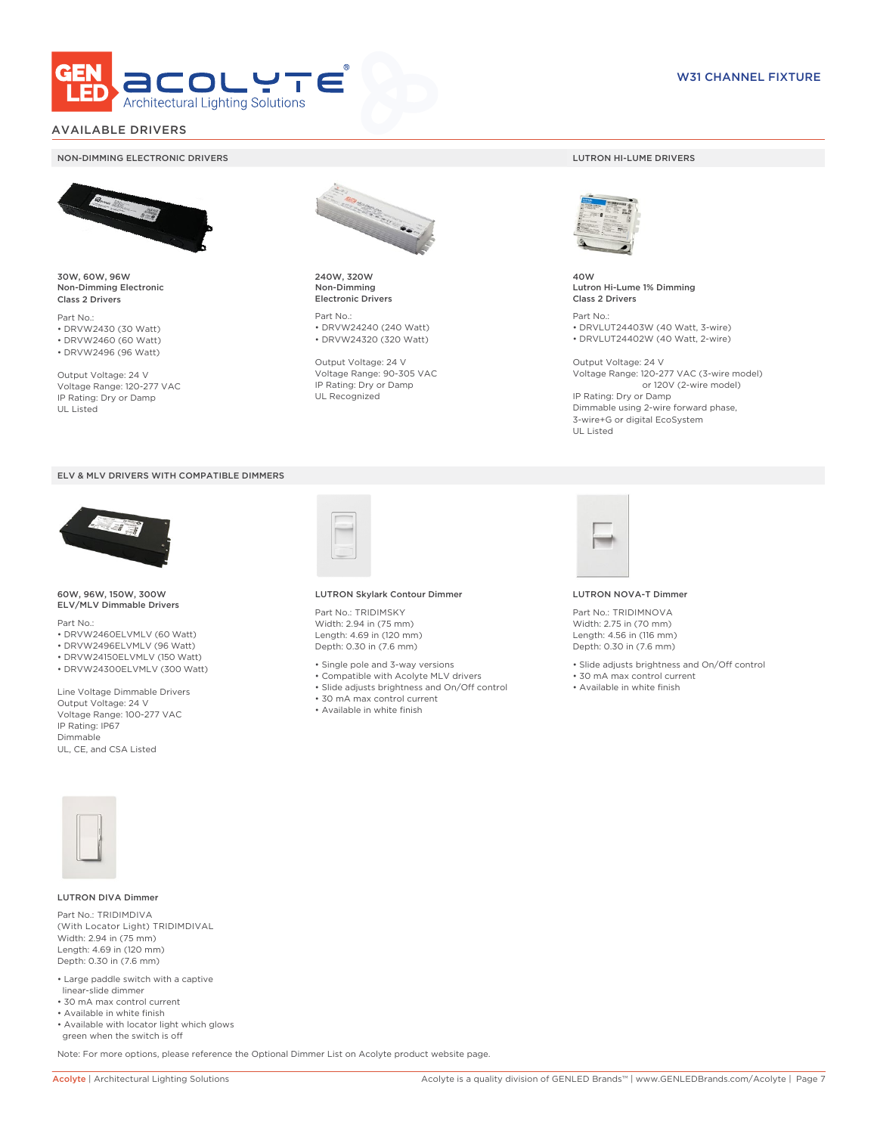

### AVAILABLE DRIVERS

#### NON-DIMMING ELECTRONIC DRIVERS LUTRON HI-LUME DRIVERS



30W, 60W, 96W Non-Dimming Electronic Class 2 Drivers

Part No.: • DRVW2430 (30 Watt) • DRVW2460 (60 Watt)

• DRVW2496 (96 Watt)

Output Voltage: 24 V Voltage Range: 120-277 VAC IP Rating: Dry or Damp UL Listed





60W, 96W, 150W, 300W ELV/MLV Dimmable Drivers

Part No.:

- DRVW2460ELVMLV (60 Watt)
- DRVW2496ELVMLV (96 Watt)
- DRVW24150ELVMLV (150 Watt)
- DRVW24300ELVMLV (300 Watt)

Line Voltage Dimmable Drivers Output Voltage: 24 V Voltage Range: 100-277 VAC IP Rating: IP67 Dimmable UL, CE, and CSA Listed



240W, 320W Non-Dimming Electronic Drivers

Part No.: • DRVW24240 (240 Watt) • DRVW24320 (320 Watt)

Output Voltage: 24 V Voltage Range: 90-305 VAC IP Rating: Dry or Damp UL Recognized



40W Lutron Hi-Lume 1% Dimming Class 2 Drivers

Part No.: • DRVLUT24403W (40 Watt, 3-wire) • DRVLUT24402W (40 Watt, 2-wire)

Output Voltage: 24 V Voltage Range: 120-277 VAC (3-wire model) or 120V (2-wire model) IP Rating: Dry or Damp Dimmable using 2-wire forward phase, 3-wire+G or digital EcoSystem UL Listed



#### LUTRON Skylark Contour Dimmer

Part No.: TRIDIMSKY Width: 2.94 in (75 mm) Length: 4.69 in (120 mm) Depth: 0.30 in (7.6 mm)

- Single pole and 3-way versions
- Compatible with Acolyte MLV drivers
- Slide adjusts brightness and On/Off control
- 30 mA max control current
- Available in white finish



#### LUTRON NOVA-T Dimmer

Part No.: TRIDIMNOVA Width: 2.75 in (70 mm) Length: 4.56 in (116 mm) Depth: 0.30 in (7.6 mm)

- Slide adjusts brightness and On/Off control
- 30 mA max control current
- Available in white finish



#### LUTRON DIVA Dimmer

Part No.: TRIDIMDIVA (With Locator Light) TRIDIMDIVAL Width: 2.94 in (75 mm) Length: 4.69 in (120 mm) Depth: 0.30 in (7.6 mm)

- Large paddle switch with a captive linear-slide dimmer
- 30 mA max control current
- Available in white finish
- Available with locator light which glows green when the switch is off

Note: For more options, please reference the Optional Dimmer List on Acolyte product website page.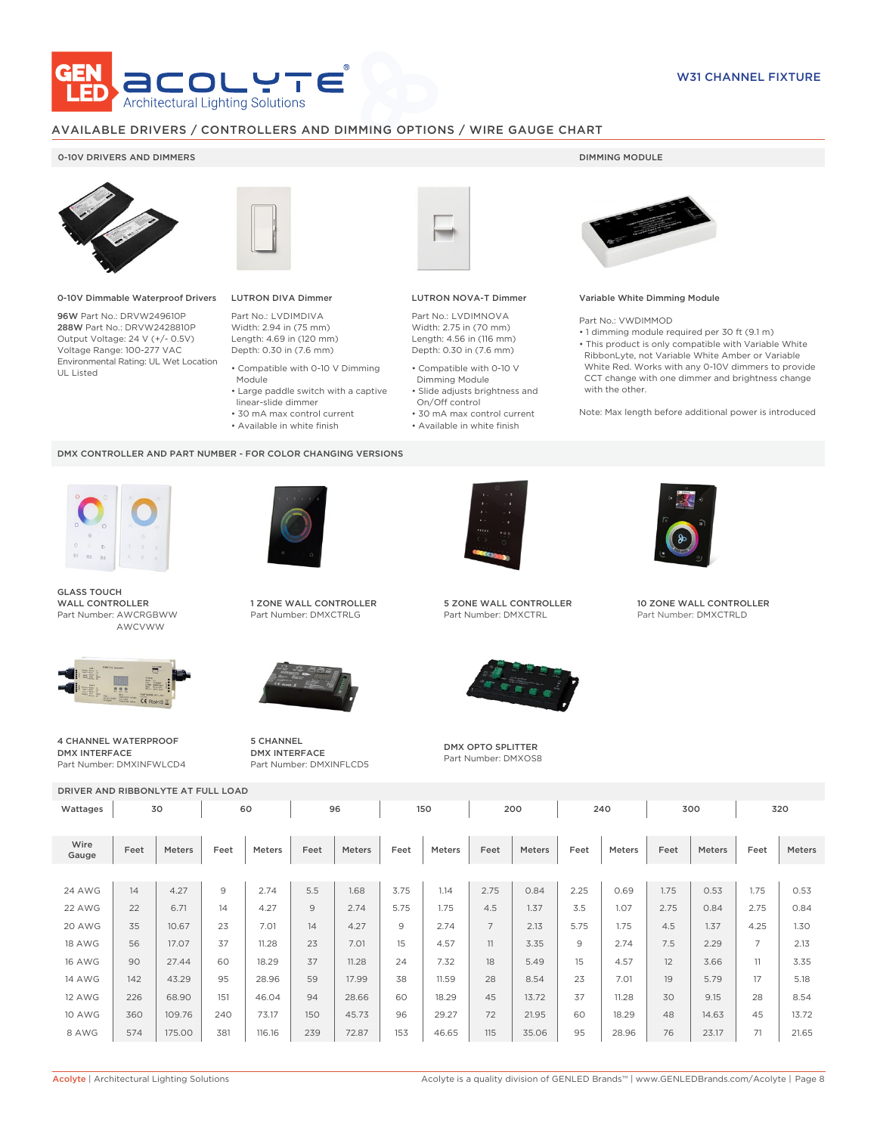

### AVAILABLE DRIVERS / CONTROLLERS AND DIMMING OPTIONS / WIRE GAUGE CHART

### 0-10V DRIVERS AND DIMMERS **DIMMING MODULE**



0-10V Dimmable Waterproof Drivers

96W Part No.: DRVW249610P 288W Part No.: DRVW2428810P Output Voltage: 24 V (+/- 0.5V) Voltage Range: 100-277 VAC Environmental Rating: UL Wet Location UL Listed



# LUTRON DIVA Dimmer

Part No.: LVDIMDIVA Width: 2.94 in (75 mm) Length: 4.69 in (120 mm) Depth: 0.30 in (7.6 mm)

- Compatible with 0-10 V Dimming Module
- Large paddle switch with a captive
- linear-slide dimmer
- 30 mA max control current
- Available in white finish

#### DMX CONTROLLER AND PART NUMBER - FOR COLOR CHANGING VERSIONS



GLASS TOUCH WALL CONTROLLER Part Number: AWCRGBWW AWCVWW



4 CHANNEL WATERPROOF DMX INTERFACE Part Number: DMXINFWLCD4



1 ZONE WALL CONTROLLER Part Number: DMXCTRLG



5 CHANNEL DMX INTERFACE Part Number: DMXINFLCD5



### LUTRON NOVA-T Dimmer

Part No.: LVDIMNOVA Width: 2.75 in (70 mm) Length: 4.56 in (116 mm) Depth: 0.30 in (7.6 mm)

- Compatible with 0-10 V Dimming Module
- Slide adjusts brightness and On/Off control
- 30 mA max control current • Available in white finish

#### Variable White Dimming Module

Part No.: VWDIMMOD

• 1 dimming module required per 30 ft (9.1 m) • This product is only compatible with Variable White RibbonLyte, not Variable White Amber or Variable White Red. Works with any 0-10V dimmers to provide CCT change with one dimmer and brightness change with the other.

Note: Max length before additional power is introduced



5 ZONE WALL CONTROLLER Part Number: DMXCTRL



DMX OPTO SPLITTER Part Number: DMXOS8



10 ZONE WALL CONTROLLER Part Number: DMXCTRLD

| DRIVER AND RIBBONLYTE AT FULL LOAD |      |        |                |               |      |           |      |        |                |               |      |               |      |        |                |        |
|------------------------------------|------|--------|----------------|---------------|------|-----------|------|--------|----------------|---------------|------|---------------|------|--------|----------------|--------|
| Wattages                           | 30   |        |                | 60            |      | 96<br>150 |      |        | 200            |               | 240  |               | 300  |        | 320            |        |
| Wire<br>Gauge                      | Feet | Meters | Feet           | <b>Meters</b> | Feet | Meters    | Feet | Meters | Feet           | <b>Meters</b> | Feet | <b>Meters</b> | Feet | Meters | Feet           | Meters |
|                                    |      |        |                |               |      |           |      |        |                |               |      |               |      |        |                |        |
| <b>24 AWG</b>                      | 14   | 4.27   | $\overline{9}$ | 2.74          | 5.5  | 1.68      | 3.75 | 1.14   | 2.75           | 0.84          | 2.25 | 0.69          | 1.75 | 0.53   | 1.75           | 0.53   |
| 22 AWG                             | 22   | 6.71   | 14             | 4.27          | 9    | 2.74      | 5.75 | 1.75   | 4.5            | 1.37          | 3.5  | 1.07          | 2.75 | 0.84   | 2.75           | 0.84   |
| 20 AWG                             | 35   | 10.67  | 23             | 7.01          | 14   | 4.27      | 9    | 2.74   | $\overline{7}$ | 2.13          | 5.75 | 1.75          | 4.5  | 1.37   | 4.25           | 1.30   |
| <b>18 AWG</b>                      | 56   | 17.07  | 37             | 11.28         | 23   | 7.01      | 15   | 4.57   | 11             | 3.35          | 9    | 2.74          | 7.5  | 2.29   | $\overline{7}$ | 2.13   |
| <b>16 AWG</b>                      | 90   | 27.44  | 60             | 18.29         | 37   | 11.28     | 24   | 7.32   | 18             | 5.49          | 15   | 4.57          | 12   | 3.66   | 11             | 3.35   |
| <b>14 AWG</b>                      | 142  | 43.29  | 95             | 28.96         | 59   | 17.99     | 38   | 11.59  | 28             | 8.54          | 23   | 7.01          | 19   | 5.79   | 17             | 5.18   |
| <b>12 AWG</b>                      | 226  | 68.90  | 151            | 46.04         | 94   | 28.66     | 60   | 18.29  | 45             | 13.72         | 37   | 11.28         | 30   | 9.15   | 28             | 8.54   |
| <b>10 AWG</b>                      | 360  | 109.76 | 240            | 73.17         | 150  | 45.73     | 96   | 29.27  | 72             | 21.95         | 60   | 18.29         | 48   | 14.63  | 45             | 13.72  |
| 8 AWG                              | 574  | 175.00 | 381            | 116.16        | 239  | 72.87     | 153  | 46.65  | 115            | 35.06         | 95   | 28.96         | 76   | 23.17  | 71             | 21.65  |